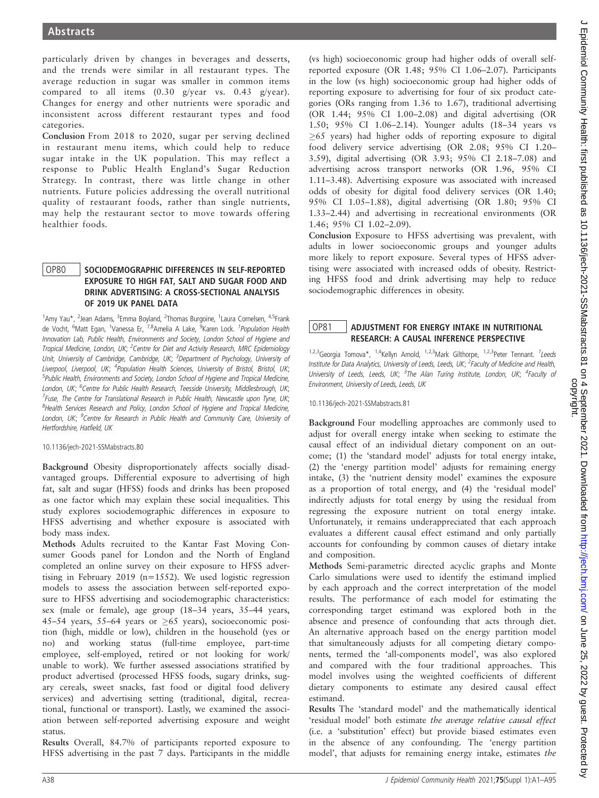particularly driven by changes in beverages and desserts, and the trends were similar in all restaurant types. The average reduction in sugar was smaller in common items compared to all items (0.30 g/year vs. 0.43 g/year). Changes for energy and other nutrients were sporadic and inconsistent across different restaurant types and food categories.

Conclusion From 2018 to 2020, sugar per serving declined in restaurant menu items, which could help to reduce sugar intake in the UK population. This may reflect a response to Public Health England's Sugar Reduction Strategy. In contrast, there was little change in other nutrients. Future policies addressing the overall nutritional quality of restaurant foods, rather than single nutrients, may help the restaurant sector to move towards offering healthier foods.

## OP80 SOCIODEMOGRAPHIC DIFFERENCES IN SELF-REPORTED EXPOSURE TO HIGH FAT, SALT AND SUGAR FOOD AND DRINK ADVERTISING: A CROSS-SECTIONAL ANALYSIS OF 2019 UK PANEL DATA

<sup>1</sup>Amy Yau\*, <sup>2</sup>Jean Adams, <sup>3</sup>Emma Boyland, <sup>2</sup>Thomas Burgoine, <sup>1</sup>Laura Cornelsen, <sup>4,5</sup>Frank de Vocht, <sup>6</sup>Matt Egan, <sup>1</sup>Vanessa Er, <sup>7,8</sup>Amelia A Lake, <sup>9</sup>Karen Lock. *<sup>1</sup>Population Health* Innovation Lab, Public Health, Environments and Society, London School of Hygiene and Tropical Medicine, London, UK; <sup>2</sup>Centre for Diet and Activity Research, MRC Epidemiology Unit, University of Cambridge, Cambridge, UK; <sup>3</sup>Department of Psychology, University of Liverpool, Liverpool, UK; <sup>4</sup>Population Health Sciences, University of Bristol, Bristol, UK; <sup>5</sup>Public Health, Environments and Society, London School of Hygiene and Tropical Medicine, London, UK; <sup>6</sup>Centre for Public Health Research, Teesside University, Middlesbrough, UK; <sup>7</sup>Fuse, The Centre for Translational Research in Public Health, Newcastle upon Tyne, UK; <sup>8</sup>Health Services Research and Policy, London School of Hygiene and Tropical Medicine, London, UK; <sup>9</sup>Centre for Research in Public Health and Community Care, University of Hertfordshire, Hatfield, UK

### 10.1136/jech-2021-SSMabstracts.80

Background Obesity disproportionately affects socially disadvantaged groups. Differential exposure to advertising of high fat, salt and sugar (HFSS) foods and drinks has been proposed as one factor which may explain these social inequalities. This study explores sociodemographic differences in exposure to HFSS advertising and whether exposure is associated with body mass index.

Methods Adults recruited to the Kantar Fast Moving Consumer Goods panel for London and the North of England completed an online survey on their exposure to HFSS advertising in February 2019 (n=1552). We used logistic regression models to assess the association between self-reported exposure to HFSS advertising and sociodemographic characteristics: sex (male or female), age group (18–34 years, 35–44 years, 45–54 years, 55–64 years or  $\geq 65$  years), socioeconomic position (high, middle or low), children in the household (yes or no) and working status (full-time employee, part-time employee, self-employed, retired or not looking for work/ unable to work). We further assessed associations stratified by product advertised (processed HFSS foods, sugary drinks, sugary cereals, sweet snacks, fast food or digital food delivery services) and advertising setting (traditional, digital, recreational, functional or transport). Lastly, we examined the association between self-reported advertising exposure and weight status.

Results Overall, 84.7% of participants reported exposure to HFSS advertising in the past 7 days. Participants in the middle

(vs high) socioeconomic group had higher odds of overall selfreported exposure (OR 1.48; 95% CI 1.06–2.07). Participants in the low (vs high) socioeconomic group had higher odds of reporting exposure to advertising for four of six product categories (ORs ranging from 1.36 to 1.67), traditional advertising (OR 1.44; 95% CI 1.00–2.08) and digital advertising (OR 1.50; 95% CI 1.06–2.14). Younger adults (18–34 years vs  $\geq$ 65 years) had higher odds of reporting exposure to digital food delivery service advertising (OR 2.08; 95% CI 1.20– 3.59), digital advertising (OR 3.93; 95% CI 2.18–7.08) and advertising across transport networks (OR 1.96, 95% CI 1.11–3.48). Advertising exposure was associated with increased odds of obesity for digital food delivery services (OR 1.40; 95% CI 1.05–1.88), digital advertising (OR 1.80; 95% CI 1.33–2.44) and advertising in recreational environments (OR 1.46; 95% CI 1.02–2.09).

Conclusion Exposure to HFSS advertising was prevalent, with adults in lower socioeconomic groups and younger adults more likely to report exposure. Several types of HFSS advertising were associated with increased odds of obesity. Restricting HFSS food and drink advertising may help to reduce sociodemographic differences in obesity.

# OP81 ADJUSTMENT FOR ENERGY INTAKE IN NUTRITIONAL RESEARCH: A CAUSAL INFERENCE PERSPECTIVE

<sup>1,2,3</sup>Georgia Tomova\*, <sup>1,4</sup>Kellyn Amold, <sup>1,2,3</sup>Mark Gilthorpe, <sup>1,2,3</sup>Peter Tennant. <sup>1</sup>Leeds Institute for Data Analytics, University of Leeds, Leeds, UK; <sup>2</sup>Faculty of Medicine and Health, University of Leeds, Leeds, UK; <sup>3</sup>The Alan Turing Institute, London, UK; <sup>4</sup>Faculty of Environment, University of Leeds, Leeds, UK

10.1136/jech-2021-SSMabstracts.81

Background Four modelling approaches are commonly used to adjust for overall energy intake when seeking to estimate the causal effect of an individual dietary component on an outcome; (1) the 'standard model' adjusts for total energy intake, (2) the 'energy partition model' adjusts for remaining energy intake, (3) the 'nutrient density model' examines the exposure as a proportion of total energy, and (4) the 'residual model' indirectly adjusts for total energy by using the residual from regressing the exposure nutrient on total energy intake. Unfortunately, it remains underappreciated that each approach evaluates a different causal effect estimand and only partially accounts for confounding by common causes of dietary intake and composition.

Methods Semi-parametric directed acyclic graphs and Monte Carlo simulations were used to identify the estimand implied by each approach and the correct interpretation of the model results. The performance of each model for estimating the corresponding target estimand was explored both in the absence and presence of confounding that acts through diet. An alternative approach based on the energy partition model that simultaneously adjusts for all competing dietary components, termed the 'all-components model', was also explored and compared with the four traditional approaches. This model involves using the weighted coefficients of different dietary components to estimate any desired causal effect estimand.

Results The 'standard model' and the mathematically identical 'residual model' both estimate the average relative causal effect (i.e. a 'substitution' effect) but provide biased estimates even in the absence of any confounding. The 'energy partition model', that adjusts for remaining energy intake, estimates the